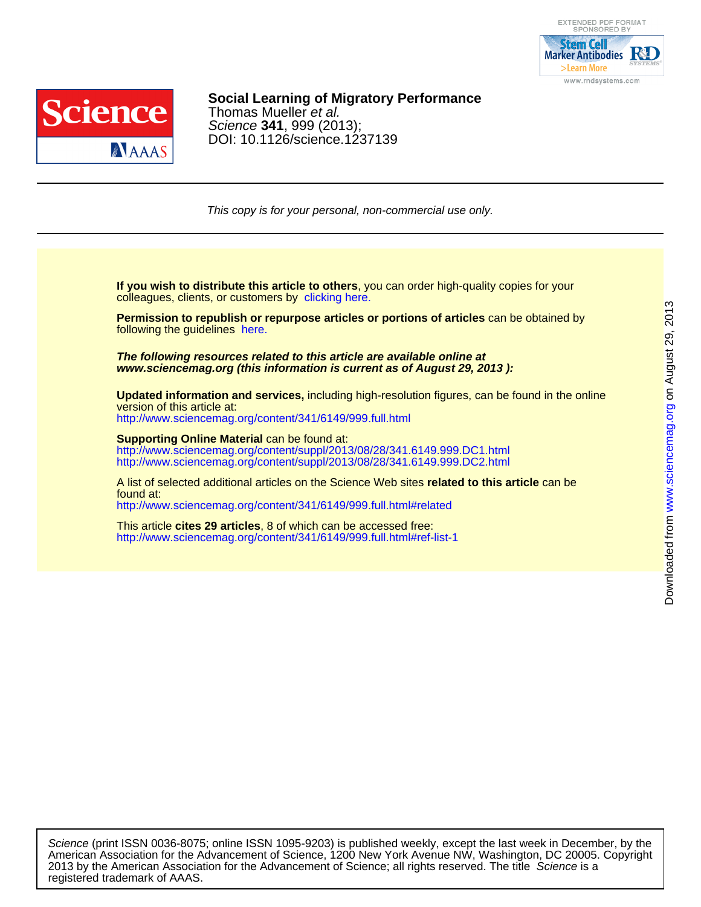



DOI: 10.1126/science.1237139 Science **341**, 999 (2013); Thomas Mueller et al. **Social Learning of Migratory Performance**

This copy is for your personal, non-commercial use only.

colleagues, clients, or customers by [clicking here.](http://www.sciencemag.org/about/permissions.dtl) **If you wish to distribute this article to others**, you can order high-quality copies for your

following the guidelines [here.](http://www.sciencemag.org/about/permissions.dtl) **Permission to republish or repurpose articles or portions of articles** can be obtained by

**www.sciencemag.org (this information is current as of August 29, 2013 ): The following resources related to this article are available online at**

version of this article at: **Updated information and services,** including high-resolution figures, can be found in the online

<http://www.sciencemag.org/content/341/6149/999.full.html>

http://www.sciencemag.org/content/suppl/2013/08/28/341.6149.999.DC2.html http://www.sciencemag.org/content/suppl/2013/08/28/341.6149.999.DC1.html **Supporting Online Material** can be found at:

<http://www.sciencemag.org/content/341/6149/999.full.html#related> found at: A list of selected additional articles on the Science Web sites **related to this article** can be

<http://www.sciencemag.org/content/341/6149/999.full.html#ref-list-1> This article **cites 29 articles**, 8 of which can be accessed free:

registered trademark of AAAS. 2013 by the American Association for the Advancement of Science; all rights reserved. The title Science is a American Association for the Advancement of Science, 1200 New York Avenue NW, Washington, DC 20005. Copyright Science (print ISSN 0036-8075; online ISSN 1095-9203) is published weekly, except the last week in December, by the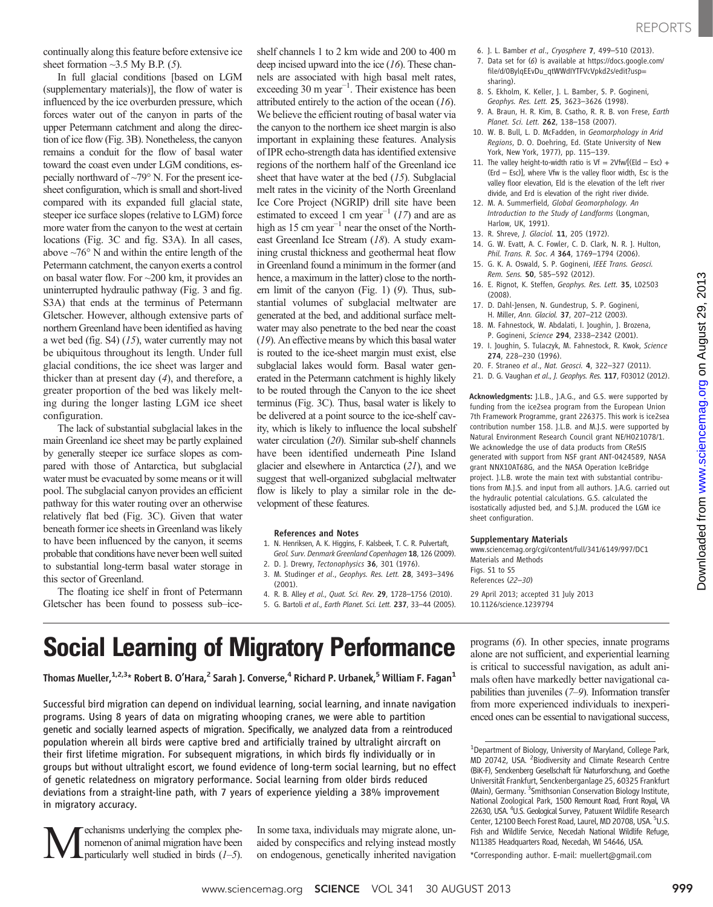In full glacial conditions [based on LGM (supplementary materials)], the flow of water is influenced by the ice overburden pressure, which forces water out of the canyon in parts of the upper Petermann catchment and along the direction of ice flow (Fig. 3B). Nonetheless, the canyon remains a conduit for the flow of basal water toward the coast even under LGM conditions, especially northward of  $\sim$ 79 $\degree$  N. For the present icesheet configuration, which is small and short-lived compared with its expanded full glacial state, steeper ice surface slopes (relative to LGM) force more water from the canyon to the west at certain locations (Fig. 3C and fig. S3A). In all cases, above  $\sim$ 76 $\degree$  N and within the entire length of the Petermann catchment, the canyon exerts a control on basal water flow. For ~200 km, it provides an uninterrupted hydraulic pathway (Fig. 3 and fig. S3A) that ends at the terminus of Petermann Gletscher. However, although extensive parts of northern Greenland have been identified as having a wet bed (fig. S4) (15), water currently may not be ubiquitous throughout its length. Under full glacial conditions, the ice sheet was larger and thicker than at present day (4), and therefore, a greater proportion of the bed was likely melting during the longer lasting LGM ice sheet configuration.

The lack of substantial subglacial lakes in the main Greenland ice sheet may be partly explained by generally steeper ice surface slopes as compared with those of Antarctica, but subglacial water must be evacuated by some means or it will pool. The subglacial canyon provides an efficient pathway for this water routing over an otherwise relatively flat bed (Fig. 3C). Given that water beneath former ice sheets in Greenland was likely to have been influenced by the canyon, it seems probable that conditions have never been well suited to substantial long-term basal water storage in this sector of Greenland.

The floating ice shelf in front of Petermann Gletscher has been found to possess sub–iceshelf channels 1 to 2 km wide and 200 to 400 m deep incised upward into the ice  $(16)$ . These channels are associated with high basal melt rates, exceeding 30 m year<sup>-1</sup>. Their existence has been attributed entirely to the action of the ocean (16). We believe the efficient routing of basal water via the canyon to the northern ice sheet margin is also important in explaining these features. Analysis of IPR echo-strength data has identified extensive regions of the northern half of the Greenland ice sheet that have water at the bed (15). Subglacial melt rates in the vicinity of the North Greenland Ice Core Project (NGRIP) drill site have been estimated to exceed 1 cm year<sup>-1</sup> (17) and are as high as 15 cm year<sup>-1</sup> near the onset of the Northeast Greenland Ice Stream (18). A study examining crustal thickness and geothermal heat flow in Greenland found a minimum in the former (and hence, a maximum in the latter) close to the northern limit of the canyon (Fig. 1) (9). Thus, substantial volumes of subglacial meltwater are generated at the bed, and additional surface meltwater may also penetrate to the bed near the coast (19). An effective means by which this basal water is routed to the ice-sheet margin must exist, else subglacial lakes would form. Basal water generated in the Petermann catchment is highly likely to be routed through the Canyon to the ice sheet terminus (Fig. 3C). Thus, basal water is likely to be delivered at a point source to the ice-shelf cavity, which is likely to influence the local subshelf water circulation (20). Similar sub-shelf channels have been identified underneath Pine Island glacier and elsewhere in Antarctica (21), and we suggest that well-organized subglacial meltwater flow is likely to play a similar role in the development of these features.

### References and Notes

- 1. N. Henriksen, A. K. Higgins, F. Kalsbeek, T. C. R. Pulvertaft, Geol. Surv. Denmark Greenland Copenhagen 18, 126 (2009).
- 2. D. J. Drewry, Tectonophysics 36, 301 (1976). 3. M. Studinger et al., Geophys. Res. Lett. 28, 3493–3496
- (2001). 4. R. B. Alley et al., Quat. Sci. Rev. 29, 1728–1756 (2010). 5. G. Bartoli et al., Earth Planet. Sci. Lett. 237, 33–44 (2005).
- 6. J. L. Bamber et al., Cryosphere 7, 499–510 (2013).
- 7. Data set for (6) is available at https://docs.google.com/ file/d/0BylqEEvDu\_qtWWdIYTFVcVpkd2s/edit?usp= sharing).
- 8. S. Ekholm, K. Keller, J. L. Bamber, S. P. Gogineni, Geophys. Res. Lett. 25, 3623–3626 (1998).
- 9. A. Braun, H. R. Kim, B. Csatho, R. R. B. von Frese, Earth Planet. Sci. Lett. 262, 138–158 (2007).
- 10. W. B. Bull, L. D. McFadden, in Geomorphology in Arid Regions, D. O. Doehring, Ed. (State University of New York, New York, 1977), pp. 115–139.
- 11. The valley height-to-width ratio is  $Vf = 2Vfw/[(Eld Esc) +$ (Erd – Esc)], where Vfw is the valley floor width, Esc is the valley floor elevation, Eld is the elevation of the left river divide, and Erd is elevation of the right river divide.
- 12. M. A. Summerfield, Global Geomorphology. An Introduction to the Study of Landforms (Longman, Harlow, UK, 1991).
- 13. R. Shreve, J. Glaciol. 11, 205 (1972).
- 14. G. W. Evatt, A. C. Fowler, C. D. Clark, N. R. J. Hulton, Phil. Trans. R. Soc. A 364, 1769–1794 (2006).
- 15. G. K. A. Oswald, S. P. Gogineni, IEEE Trans. Geosci. Rem. Sens. 50, 585–592 (2012).
- 16. E. Rignot, K. Steffen, Geophys. Res. Lett. 35, L02503 (2008).
- 17. D. Dahl-Jensen, N. Gundestrup, S. P. Gogineni, H. Miller, Ann. Glaciol. 37, 207–212 (2003).
- 18. M. Fahnestock, W. Abdalati, I. Joughin, J. Brozena, P. Gogineni, Science 294, 2338–2342 (2001).
- 19. I. Joughin, S. Tulaczyk, M. Fahnestock, R. Kwok, Science 274, 228–230 (1996).
- 20. F. Straneo et al., Nat. Geosci. 4, 322–327 (2011).
- 21. D. G. Vaughan et al., J. Geophys. Res. 117, F03012 (2012).

Acknowledgments: J.L.B., J.A.G., and G.S. were supported by funding from the ice2sea program from the European Union 7th Framework Programme, grant 226375. This work is ice2sea contribution number 158. J.L.B. and M.J.S. were supported by Natural Environment Research Council grant NE/H021078/1. We acknowledge the use of data products from CReSIS generated with support from NSF grant ANT-0424589, NASA grant NNX10AT68G, and the NASA Operation IceBridge project. J.L.B. wrote the main text with substantial contributions from M.J.S. and input from all authors. J.A.G. carried out the hydraulic potential calculations. G.S. calculated the isostatically adjusted bed, and S.J.M. produced the LGM ice sheet configuration.

### Supplementary Materials

www.sciencemag.org/cgi/content/full/341/6149/997/DC1 Materials and Methods Figs. S1 to S5 References (22–30) 29 April 2013; accepted 31 July 2013 10.1126/science.1239794

## Social Learning of Migratory Performance

Thomas Mueller,<sup>1,2,3</sup>\* Robert B. O'Hara,<sup>2</sup> Sarah J. Converse,<sup>4</sup> Richard P. Urbanek,<sup>5</sup> William F. Fagan<sup>1</sup>

Successful bird migration can depend on individual learning, social learning, and innate navigation programs. Using 8 years of data on migrating whooping cranes, we were able to partition genetic and socially learned aspects of migration. Specifically, we analyzed data from a reintroduced population wherein all birds were captive bred and artificially trained by ultralight aircraft on their first lifetime migration. For subsequent migrations, in which birds fly individually or in groups but without ultralight escort, we found evidence of long-term social learning, but no effect of genetic relatedness on migratory performance. Social learning from older birds reduced deviations from a straight-line path, with 7 years of experience yielding a 38% improvement in migratory accuracy.

**M** echanisms underlying the complex phe-<br>nomenon of animal migration have been<br>particularly well studied in birds (1–5). nomenon of animal migration have been

In some taxa, individuals may migrate alone, unaided by conspecifics and relying instead mostly on endogenous, genetically inherited navigation programs (6). In other species, innate programs alone are not sufficient, and experiential learning is critical to successful navigation, as adult animals often have markedly better navigational capabilities than juveniles (7–9). Information transfer from more experienced individuals to inexperienced ones can be essential to navigational success,

\*Corresponding author. E-mail: muellert@gmail.com

<sup>&</sup>lt;sup>1</sup>Department of Biology, University of Maryland, College Park, MD 20742, USA. <sup>2</sup> Biodiversity and Climate Research Centre (BiK-F), Senckenberg Gesellschaft für Naturforschung, and Goethe Universität Frankfurt, Senckenberganlage 25, 60325 Frankfurt (Main), Germany. <sup>3</sup>Smithsonian Conservation Biology Institute, National Zoological Park, 1500 Remount Road, Front Royal, VA 22630, USA. <sup>4</sup>U.S. Geological Survey, Patuxent Wildlife Research Center, 12100 Beech Forest Road, Laurel, MD 20708, USA. <sup>5</sup>U.S. Fish and Wildlife Service, Necedah National Wildlife Refuge, N11385 Headquarters Road, Necedah, WI 54646, USA.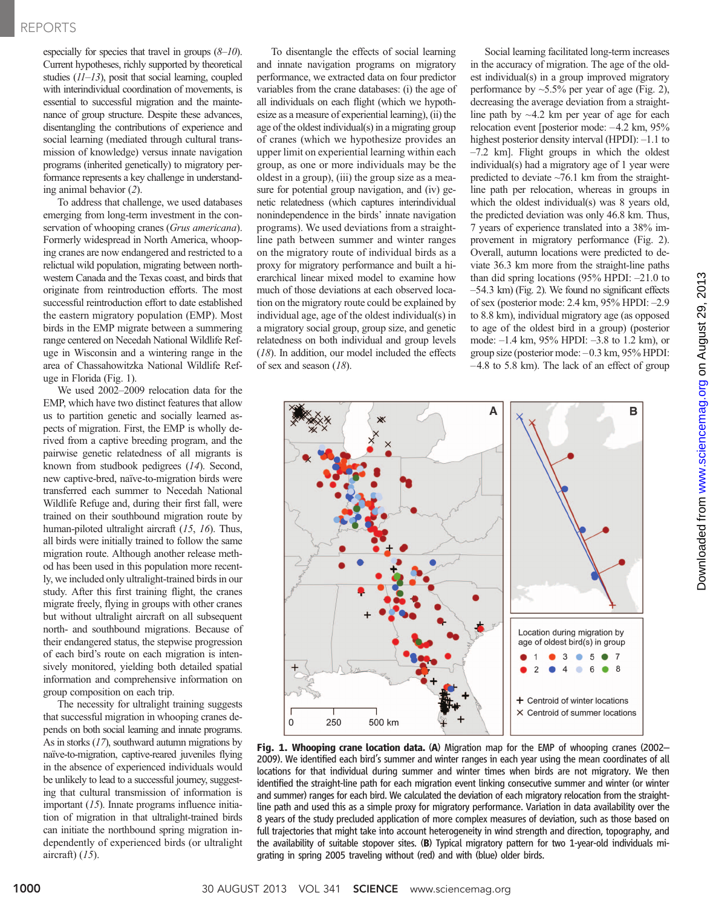## REPORTS

especially for species that travel in groups  $(8-10)$ . Current hypotheses, richly supported by theoretical studies  $(11-13)$ , posit that social learning, coupled with interindividual coordination of movements, is essential to successful migration and the maintenance of group structure. Despite these advances, disentangling the contributions of experience and social learning (mediated through cultural transmission of knowledge) versus innate navigation programs (inherited genetically) to migratory performance represents a key challenge in understanding animal behavior (2).

To address that challenge, we used databases emerging from long-term investment in the conservation of whooping cranes (Grus americana). Formerly widespread in North America, whooping cranes are now endangered and restricted to a relictual wild population, migrating between northwestern Canada and the Texas coast, and birds that originate from reintroduction efforts. The most successful reintroduction effort to date established the eastern migratory population (EMP). Most birds in the EMP migrate between a summering range centered on Necedah National Wildlife Refuge in Wisconsin and a wintering range in the area of Chassahowitzka National Wildlife Refuge in Florida (Fig. 1).

We used 2002–2009 relocation data for the EMP, which have two distinct features that allow us to partition genetic and socially learned aspects of migration. First, the EMP is wholly derived from a captive breeding program, and the pairwise genetic relatedness of all migrants is known from studbook pedigrees (14). Second, new captive-bred, naïve-to-migration birds were transferred each summer to Necedah National Wildlife Refuge and, during their first fall, were trained on their southbound migration route by human-piloted ultralight aircraft (15, 16). Thus, all birds were initially trained to follow the same migration route. Although another release method has been used in this population more recently, we included only ultralight-trained birds in our study. After this first training flight, the cranes migrate freely, flying in groups with other cranes but without ultralight aircraft on all subsequent north- and southbound migrations. Because of their endangered status, the stepwise progression of each bird's route on each migration is intensively monitored, yielding both detailed spatial information and comprehensive information on group composition on each trip.

The necessity for ultralight training suggests that successful migration in whooping cranes depends on both social learning and innate programs. As in storks  $(17)$ , southward autumn migrations by naïve-to-migration, captive-reared juveniles flying in the absence of experienced individuals would be unlikely to lead to a successful journey, suggesting that cultural transmission of information is important (15). Innate programs influence initiation of migration in that ultralight-trained birds can initiate the northbound spring migration independently of experienced birds (or ultralight aircraft)  $(15)$ .

To disentangle the effects of social learning and innate navigation programs on migratory performance, we extracted data on four predictor variables from the crane databases: (i) the age of all individuals on each flight (which we hypothesize as a measure of experiential learning), (ii) the age of the oldest individual(s) in a migrating group of cranes (which we hypothesize provides an upper limit on experiential learning within each group, as one or more individuals may be the oldest in a group), (iii) the group size as a measure for potential group navigation, and (iv) genetic relatedness (which captures interindividual nonindependence in the birds' innate navigation programs). We used deviations from a straightline path between summer and winter ranges on the migratory route of individual birds as a proxy for migratory performance and built a hierarchical linear mixed model to examine how much of those deviations at each observed location on the migratory route could be explained by individual age, age of the oldest individual(s) in a migratory social group, group size, and genetic relatedness on both individual and group levels (18). In addition, our model included the effects of sex and season  $(18)$ .

Social learning facilitated long-term increases in the accuracy of migration. The age of the oldest individual(s) in a group improved migratory performance by  $\sim$ 5.5% per year of age (Fig. 2), decreasing the average deviation from a straightline path by  $\sim$ 4.2 km per year of age for each relocation event [posterior mode: –4.2 km, 95% highest posterior density interval (HPDI):  $-1.1$  to –7.2 km]. Flight groups in which the oldest individual(s) had a migratory age of 1 year were predicted to deviate  $\sim$ 76.1 km from the straightline path per relocation, whereas in groups in which the oldest individual(s) was 8 years old, the predicted deviation was only 46.8 km. Thus, 7 years of experience translated into a 38% improvement in migratory performance (Fig. 2). Overall, autumn locations were predicted to deviate 36.3 km more from the straight-line paths than did spring locations (95% HPDI: –21.0 to –54.3 km) (Fig. 2). We found no significant effects of sex (posterior mode: 2.4 km, 95% HPDI: –2.9 to 8.8 km), individual migratory age (as opposed to age of the oldest bird in a group) (posterior mode: –1.4 km, 95% HPDI: –3.8 to 1.2 km), or group size (posterior mode: –0.3 km, 95% HPDI: –4.8 to 5.8 km). The lack of an effect of group



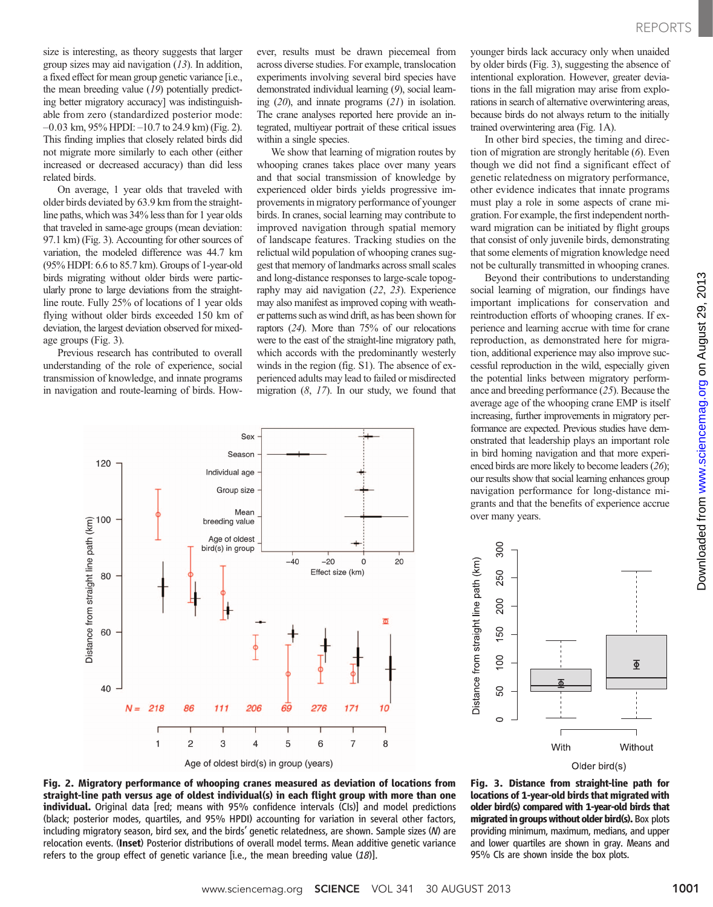size is interesting, as theory suggests that larger group sizes may aid navigation  $(13)$ . In addition, a fixed effect for mean group genetic variance [i.e., the mean breeding value (19) potentially predicting better migratory accuracy] was indistinguishable from zero (standardized posterior mode:  $-0.03$  km,  $95\%$  HPDI:  $-10.7$  to 24.9 km) (Fig. 2). This finding implies that closely related birds did not migrate more similarly to each other (either increased or decreased accuracy) than did less related birds.

On average, 1 year olds that traveled with older birds deviated by 63.9 km from the straightline paths, which was 34% less than for 1 year olds that traveled in same-age groups (mean deviation: 97.1 km) (Fig. 3). Accounting for other sources of variation, the modeled difference was 44.7 km (95% HDPI: 6.6 to 85.7 km). Groups of 1-year-old birds migrating without older birds were particularly prone to large deviations from the straightline route. Fully 25% of locations of 1 year olds flying without older birds exceeded 150 km of deviation, the largest deviation observed for mixedage groups (Fig. 3).

Previous research has contributed to overall understanding of the role of experience, social transmission of knowledge, and innate programs in navigation and route-learning of birds. However, results must be drawn piecemeal from across diverse studies. For example, translocation experiments involving several bird species have demonstrated individual learning (9), social learning (20), and innate programs (21) in isolation. The crane analyses reported here provide an integrated, multiyear portrait of these critical issues within a single species.

We show that learning of migration routes by whooping cranes takes place over many years and that social transmission of knowledge by experienced older birds yields progressive improvements in migratory performance of younger birds. In cranes, social learning may contribute to improved navigation through spatial memory of landscape features. Tracking studies on the relictual wild population of whooping cranes suggest that memory of landmarks across small scales and long-distance responses to large-scale topography may aid navigation (22, 23). Experience may also manifest as improved coping with weather patterns such as wind drift, as has been shown for raptors (24). More than 75% of our relocations were to the east of the straight-line migratory path, which accords with the predominantly westerly winds in the region (fig. S1). The absence of experienced adults may lead to failed or misdirected migration  $(8, 17)$ . In our study, we found that

Sex Season 120 Individual age Group size Mean 100 Distance from straight line path (km) breeding value Age of oldest bird(s) in group  $-40$  $-20$  $\mathbf{0}$ 20 Effect size (km) 80 60  $\frac{1}{2}$ 40  $N = 218$ 86  $111$ 206 69 276  $171$ 10  $\overline{1}$  $\overline{c}$ 3  $\overline{4}$ 5 6 7 8 Age of oldest bird(s) in group (years)

younger birds lack accuracy only when unaided by older birds (Fig. 3), suggesting the absence of intentional exploration. However, greater deviations in the fall migration may arise from explorations in search of alternative overwintering areas, because birds do not always return to the initially trained overwintering area (Fig. 1A).

In other bird species, the timing and direction of migration are strongly heritable (6). Even though we did not find a significant effect of genetic relatedness on migratory performance, other evidence indicates that innate programs must play a role in some aspects of crane migration. For example, the first independent northward migration can be initiated by flight groups that consist of only juvenile birds, demonstrating that some elements of migration knowledge need not be culturally transmitted in whooping cranes.

Beyond their contributions to understanding social learning of migration, our findings have important implications for conservation and reintroduction efforts of whooping cranes. If experience and learning accrue with time for crane reproduction, as demonstrated here for migration, additional experience may also improve successful reproduction in the wild, especially given the potential links between migratory performance and breeding performance (25). Because the average age of the whooping crane EMP is itself increasing, further improvements in migratory performance are expected. Previous studies have demonstrated that leadership plays an important role in bird homing navigation and that more experienced birds are more likely to become leaders (26); our results show that social learning enhances group navigation performance for long-distance migrants and that the benefits of experience accrue over many years.



Distance from straight line path (km)

Fig. 2. Migratory performance of whooping cranes measured as deviation of locations from straight-line path versus age of oldest individual(s) in each flight group with more than one individual. Original data [red; means with 95% confidence intervals (CIs)] and model predictions (black; posterior modes, quartiles, and 95% HPDI) accounting for variation in several other factors, including migratory season, bird sex, and the birds' genetic relatedness, are shown. Sample sizes (N) are relocation events. (Inset) Posterior distributions of overall model terms. Mean additive genetic variance refers to the group effect of genetic variance [i.e., the mean breeding value  $(18)$ ].